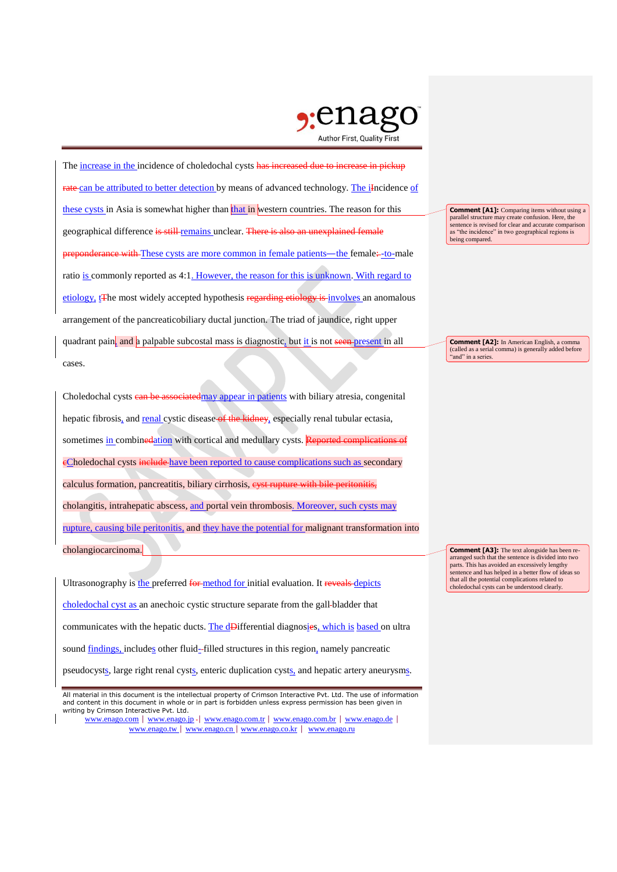

The increase in the incidence of choledochal cysts has increased due to increase in pickup rate can be attributed to better detection by means of advanced technology. The iIncidence of these cysts in Asia is somewhat higher than that in western countries. The reason for this geographical difference is still remains unclear. There is also an unexplained female predictionratio is commonly reported as 4:1. However, the reason for this is unknown. With regard to etiology, t<sub>The most</sub> widely accepted hypothesis regarding etiology is involves an anomalous arrangement of the pancreaticobiliary ductal junction. The triad of jaundice, right upper quadrant pain, and a palpable subcostal mass is diagnostic, but it is not seen present in all cases.

Choledochal cysts can be associated may appear in patients with biliary atresia, congenital hepatic fibrosis, and renal cystic disease of the kidney, especially renal tubular ectasia, sometimes in combinedation with cortical and medullary cysts. Reported complications of eCholedochal cysts include have been reported to cause complications such as secondary calculus formation, pancreatitis, biliary cirrhosis, eyst rupture with bile peritonitis, cholangitis, intrahepatic abscess, and portal vein thrombosis. Moreover, such cysts may rupture, causing bile peritonitis, and they have the potential for malignant transformation into cholangiocarcinoma.

Ultrasonography is the preferred for method for initial evaluation. It reveals depicts choledochal cyst as an anechoic cystic structure separate from the gall bladder that communicates with the hepatic ducts. The dDifferential diagnosies, which is based on ultra sound findings, includes other fluid-filled structures in this region, namely pancreatic pseudocysts, large right renal cysts, enteric duplication cysts, and hepatic artery aneurysms. **Comment [A1]:** Comparing items without using a parallel structure may create confusion. Here, the sentence is revised for clear and accurate comparison as "the incidence" in two geographical regions is being compared.

**Comment [A2]:** In American English, a comma (called as a serial comma) is generally added before "and" in a series.

**Comment [A3]:** The text alongside has been rearranged such that the sentence is divided into two parts. This has avoided an excessively lengthy sentence and has helped in a better flow of ideas so that all the potential complications related to choledochal cysts can be understood clearly.

All material in this document is the intellectual property of Crimson Interactive Pvt. Ltd. The use of information and content in this document in whole or in part is forbidden unless express permission has been given in writing by Crimson Interactive Pvt. Ltd.

www.enago.com | www.enago.jp - | www.enago.com.tr | www.enago.com.br | www.enago.de | www.enago.tw | www.enago.cn | www.enago.co.kr | www.enago.ru